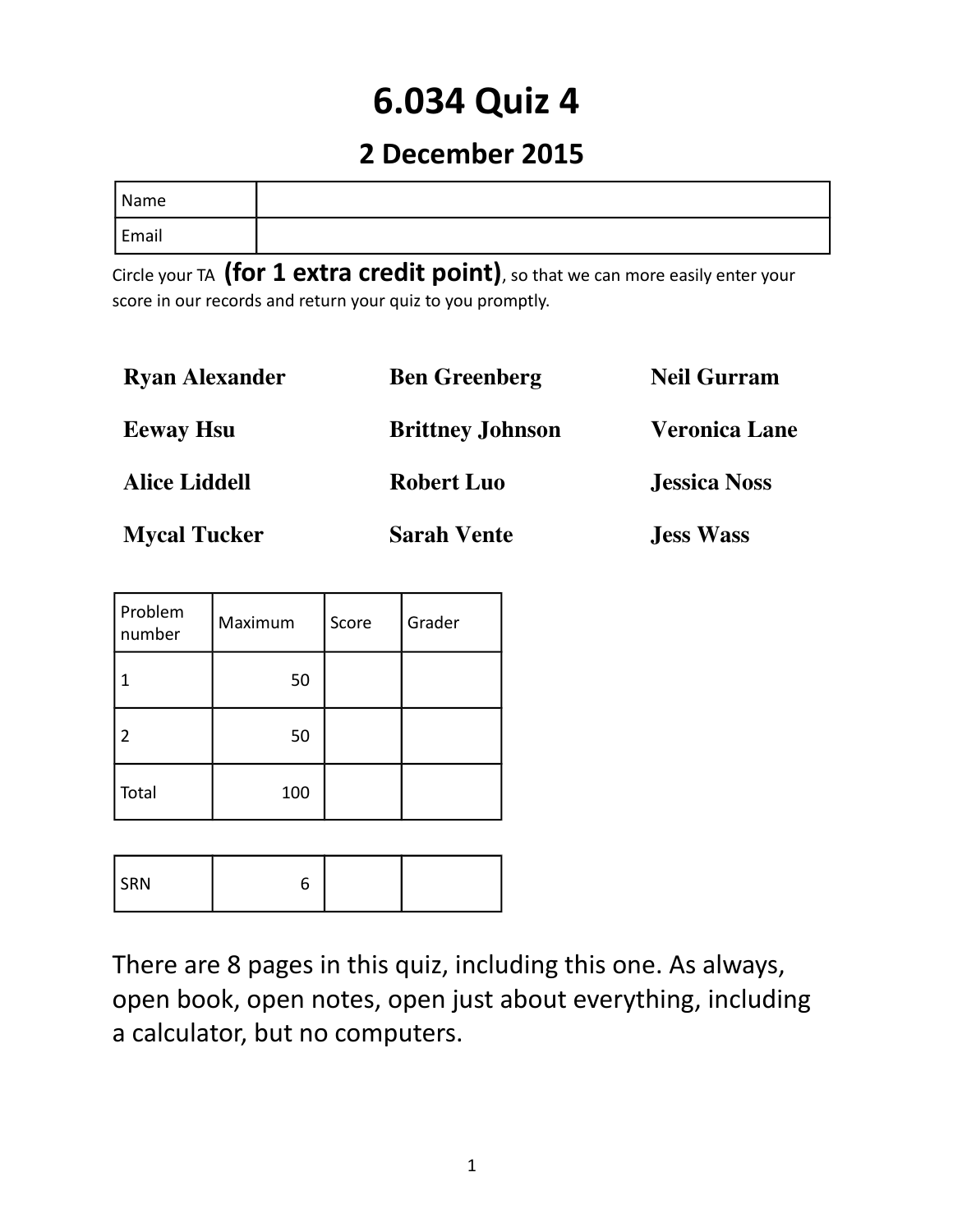# **6.034 Quiz 4**

### **2 December 2015**

| <sup>I</sup> Name |  |
|-------------------|--|
| Email             |  |

Circle your TA **(for 1 extra credit point)**, so that we can more easily enter your score in our records and return your quiz to you promptly.

| <b>Ryan Alexander</b> | <b>Ben Greenberg</b>    | <b>Neil Gurram</b>   |
|-----------------------|-------------------------|----------------------|
| <b>Eeway Hsu</b>      | <b>Brittney Johnson</b> | <b>Veronica Lane</b> |
| <b>Alice Liddell</b>  | <b>Robert Luo</b>       | <b>Jessica Noss</b>  |
| <b>Mycal Tucker</b>   | <b>Sarah Vente</b>      | <b>Jess Wass</b>     |

| Problem<br>number | Maximum | Score | Grader |
|-------------------|---------|-------|--------|
|                   | 50      |       |        |
| $\overline{2}$    | 50      |       |        |
| Total             | 100     |       |        |

| DNI<br>. <b>.</b> |  |  |  |
|-------------------|--|--|--|
|-------------------|--|--|--|

There are 8 pages in this quiz, including this one. As always, open book, open notes, open just about everything, including a calculator, but no computers.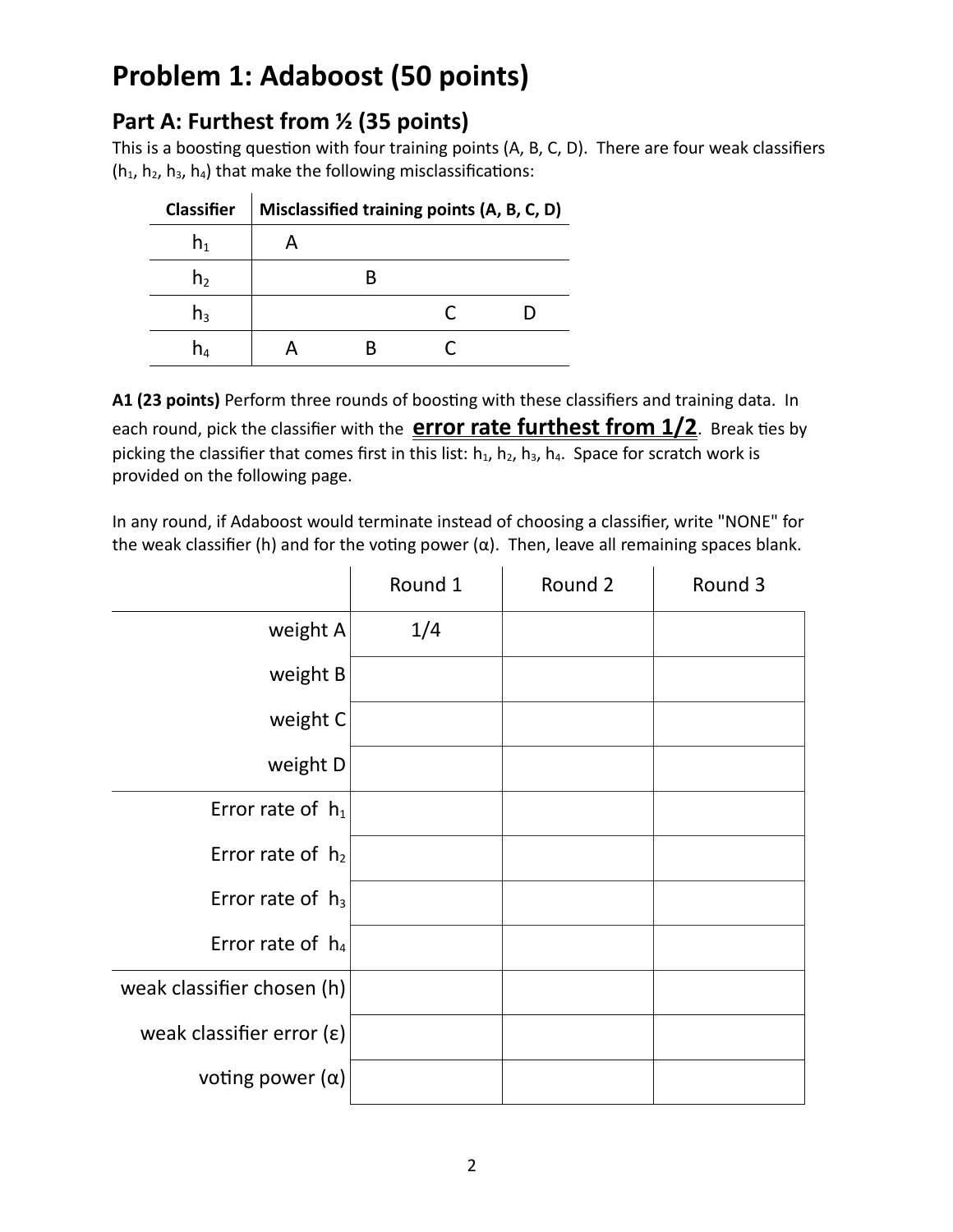## **Problem 1: Adaboost (50 points)**

### **Part A: Furthest from ½ (35 points)**

This is a boosting question with four training points (A, B, C, D). There are four weak classifiers  $(h_1, h_2, h_3, h_4)$  that make the following misclassifications:

| <b>Classifier</b> |  | Misclassified training points (A, B, C, D) |  |
|-------------------|--|--------------------------------------------|--|
| $n_{1}$           |  |                                            |  |
| n <sub>2</sub>    |  |                                            |  |
| h٩                |  |                                            |  |
| n۵                |  |                                            |  |

**A1 (23 points)** Perform three rounds of boosting with these classifiers and training data. In each round, pick the classifier with the **error rate furthest from 1/2**. Break ties by picking the classifier that comes first in this list:  $h_1$ ,  $h_2$ ,  $h_3$ ,  $h_4$ . Space for scratch work is provided on the following page.

In any round, if Adaboost would terminate instead of choosing a classifier, write "NONE" for the weak classifier (h) and for the voting power ( $\alpha$ ). Then, leave all remaining spaces blank.

|                            | Round 1 | Round 2 | Round 3 |
|----------------------------|---------|---------|---------|
| weight $A$                 | 1/4     |         |         |
| weight B                   |         |         |         |
| weight C                   |         |         |         |
| weight D                   |         |         |         |
| Error rate of $h_1$        |         |         |         |
| Error rate of $h_2$        |         |         |         |
| Error rate of $h_3$        |         |         |         |
| Error rate of $h_4$        |         |         |         |
| weak classifier chosen (h) |         |         |         |
| weak classifier error (ε)  |         |         |         |
| voting power $(\alpha)$    |         |         |         |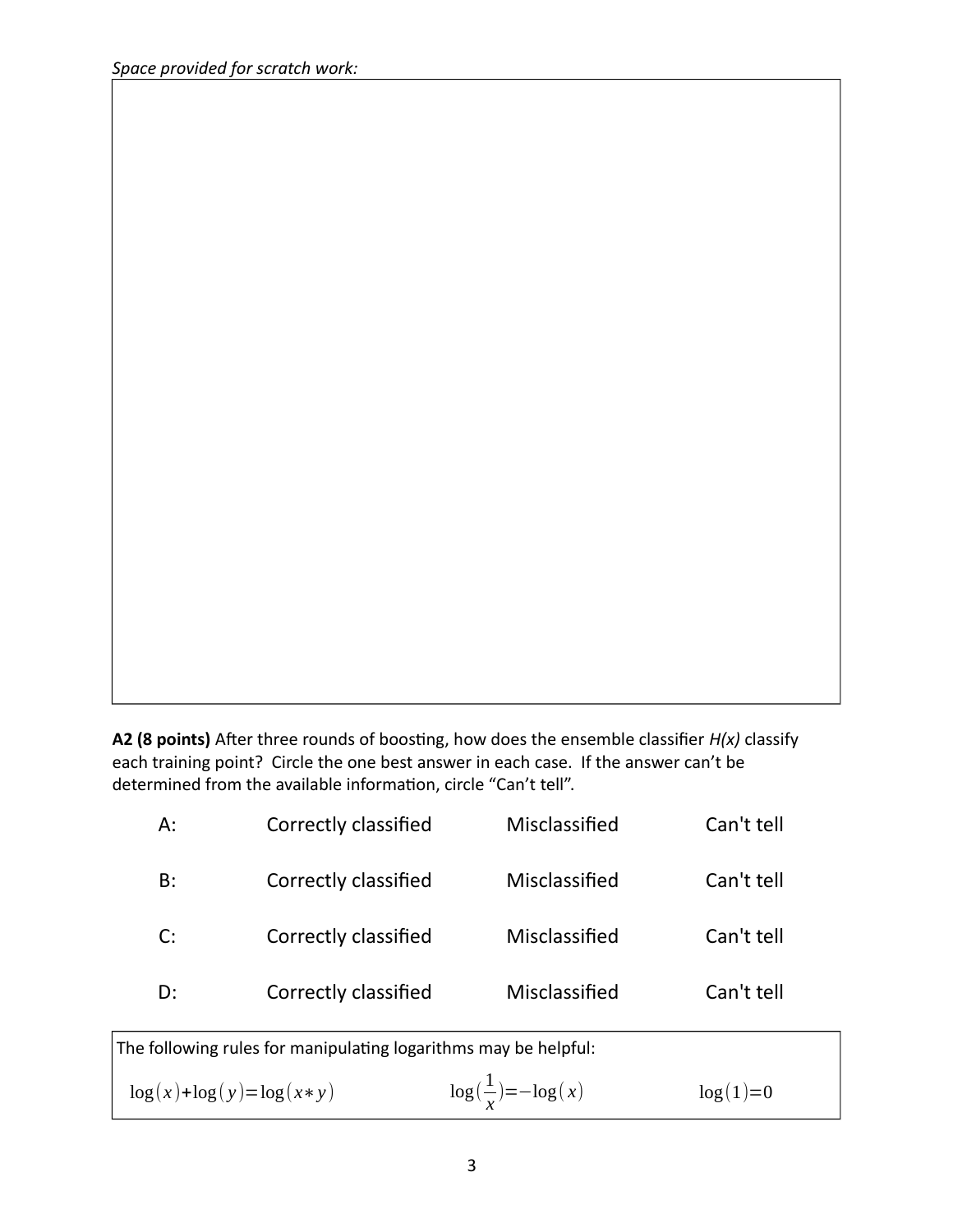**A2 (8 points)** After three rounds of boosting, how does the ensemble classifier *H(x)* classify each training point? Circle the one best answer in each case. If the answer can't be determined from the available information, circle "Can't tell".

| $\log(x) + \log(y) = \log(x * y)$ |                                                                 | $\log(\frac{1}{x}) = -\log(x)$ | $log(1)=0$ |  |
|-----------------------------------|-----------------------------------------------------------------|--------------------------------|------------|--|
|                                   | The following rules for manipulating logarithms may be helpful: |                                |            |  |
| D:                                | Correctly classified                                            | Misclassified                  | Can't tell |  |
| C:                                | Correctly classified                                            | Misclassified                  | Can't tell |  |
| $B$ :                             | Correctly classified                                            | Misclassified                  | Can't tell |  |
| А:                                | Correctly classified                                            | Misclassified                  | Can't tell |  |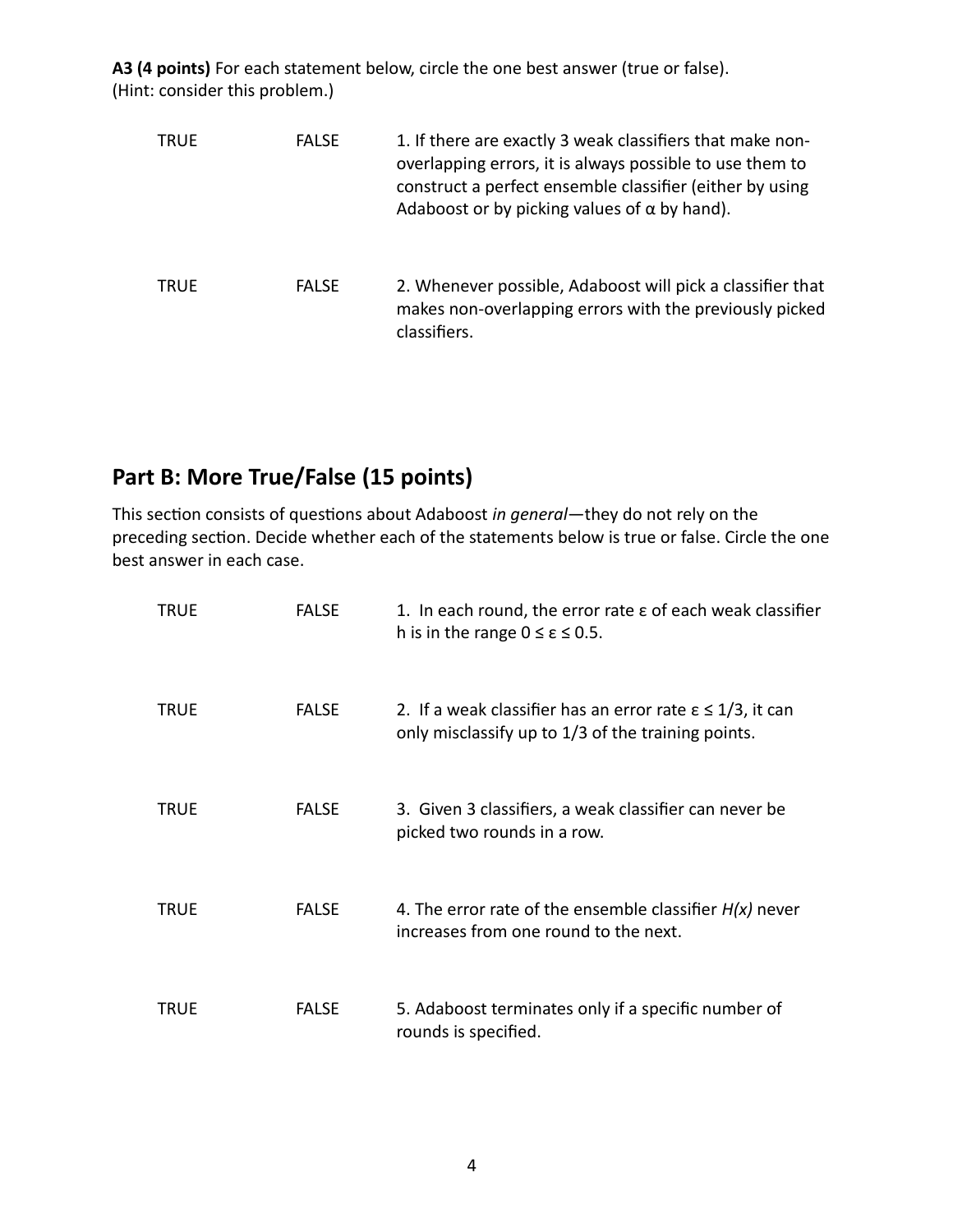**A3 (4 points)** For each statement below, circle the one best answer (true or false). (Hint: consider this problem.)

| <b>TRUE</b> | <b>FALSE</b> | 1. If there are exactly 3 weak classifiers that make non-<br>overlapping errors, it is always possible to use them to<br>construct a perfect ensemble classifier (either by using<br>Adaboost or by picking values of $\alpha$ by hand). |
|-------------|--------------|------------------------------------------------------------------------------------------------------------------------------------------------------------------------------------------------------------------------------------------|
| <b>TRUE</b> | <b>FALSE</b> | 2. Whenever possible, Adaboost will pick a classifier that<br>makes non-overlapping errors with the previously picked<br>classifiers.                                                                                                    |

### **Part B: More True/False (15 points)**

This section consists of questions about Adaboost *in general*—they do not rely on the preceding section. Decide whether each of the statements below is true or false. Circle the one best answer in each case.

| TRUE        | <b>FALSE</b> | 1. In each round, the error rate $\varepsilon$ of each weak classifier<br>h is in the range $0 \le \varepsilon \le 0.5$ .    |
|-------------|--------------|------------------------------------------------------------------------------------------------------------------------------|
| <b>TRUE</b> | <b>FALSE</b> | 2. If a weak classifier has an error rate $\epsilon \leq 1/3$ , it can<br>only misclassify up to 1/3 of the training points. |
| TRUE        | <b>FALSE</b> | 3. Given 3 classifiers, a weak classifier can never be<br>picked two rounds in a row.                                        |
| <b>TRUE</b> | <b>FALSE</b> | 4. The error rate of the ensemble classifier $H(x)$ never<br>increases from one round to the next.                           |
| TRUE        | <b>FALSE</b> | 5. Adaboost terminates only if a specific number of<br>rounds is specified.                                                  |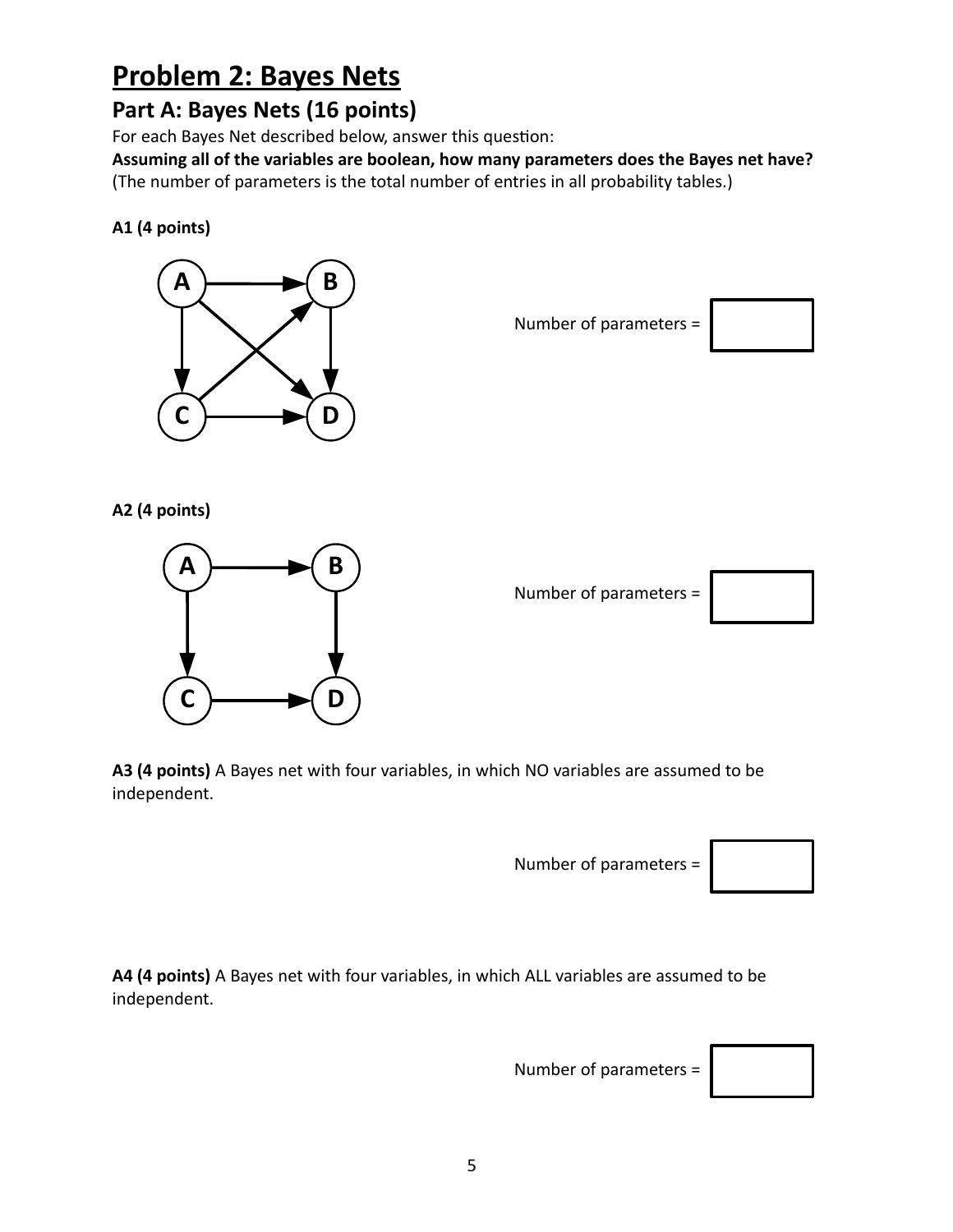### **Problem 2: Bayes Nets**

### **Part A: Bayes Nets (16 points)**

For each Bayes Net described below, answer this question:

**Assuming all of the variables are boolean, how many parameters does the Bayes net have?** (The number of parameters is the total number of entries in all probability tables.)

**A1 (4 points)**



Number of parameters =



**A2 (4 points)**



Number of parameters =



**A3 (4 points)** A Bayes net with four variables, in which NO variables are assumed to be independent.

Number of parameters =

**A4 (4 points)** A Bayes net with four variables, in which ALL variables are assumed to be independent.

Number of parameters =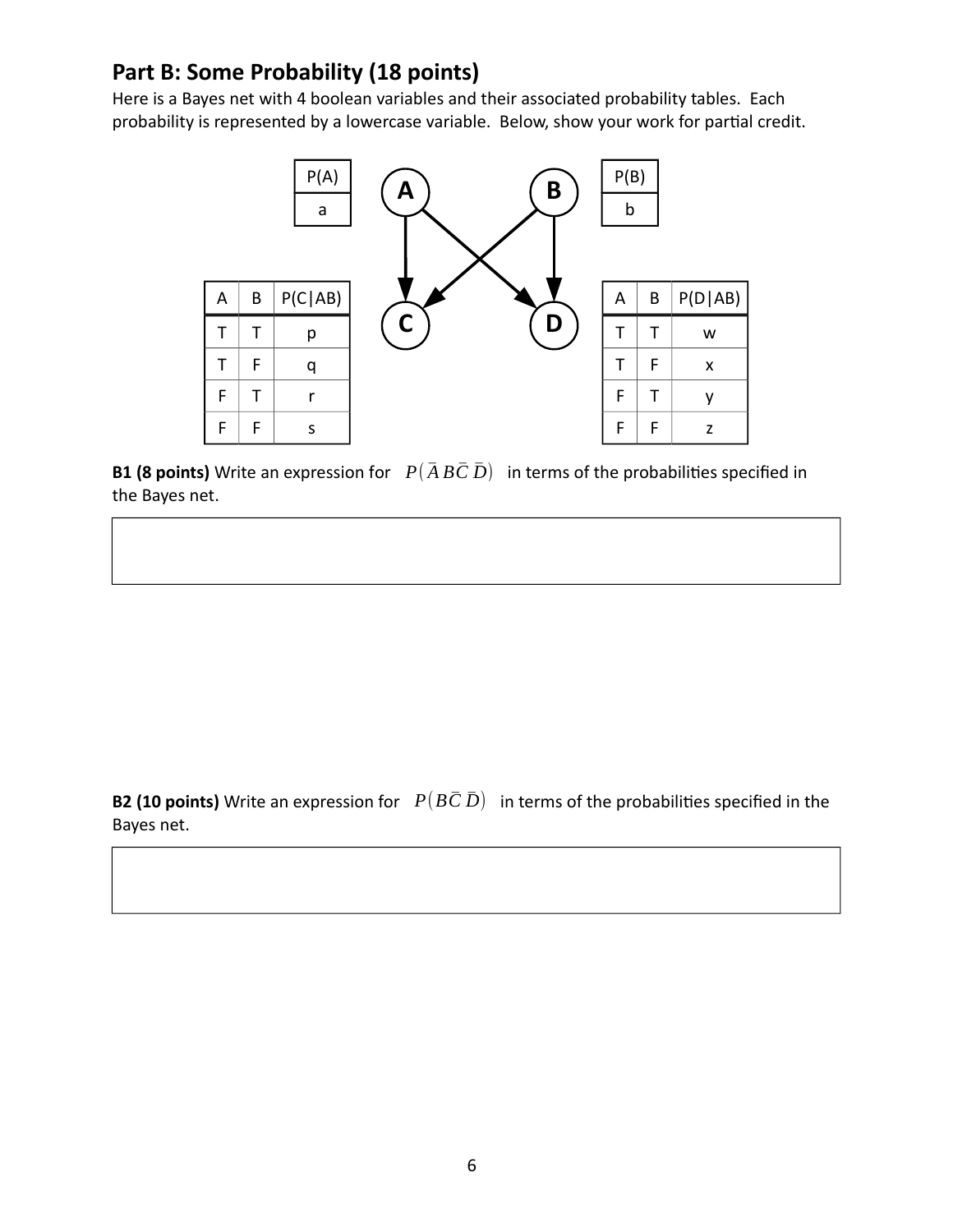#### **Part B: Some Probability (18 points)**

Here is a Bayes net with 4 boolean variables and their associated probability tables. Each probability is represented by a lowercase variable. Below, show your work for partial credit.



**B1 (8 points)** Write an expression for  $P(\overline{A} \overline{B} \overline{C} \overline{D})$  in terms of the probabilities specified in the Bayes net.

**B2 (10 points)** Write an expression for  $P(B\bar{C}\bar{D})$  in terms of the probabilities specified in the Bayes net.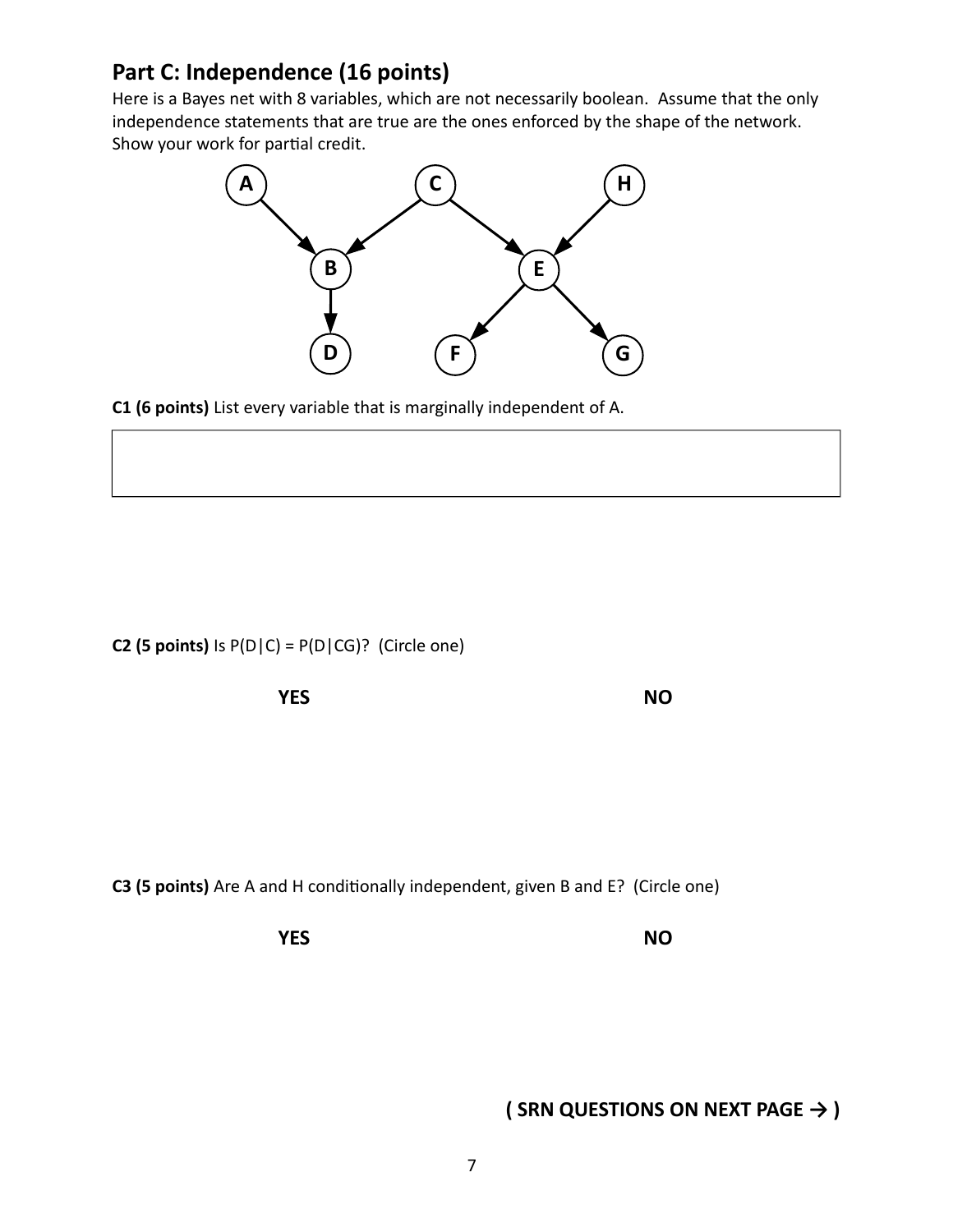#### **Part C: Independence (16 points)**

Here is a Bayes net with 8 variables, which are not necessarily boolean. Assume that the only independence statements that are true are the ones enforced by the shape of the network. Show your work for partial credit.



**C1 (6 points)** List every variable that is marginally independent of A.

**C2 (5 points)** Is  $P(D|C) = P(D|CG)$ ? (Circle one)

**YES NO**

**C3 (5 points)** Are A and H conditionally independent, given B and E? (Circle one)

**YES NO**

**( SRN QUESTIONS ON NEXT PAGE → )**